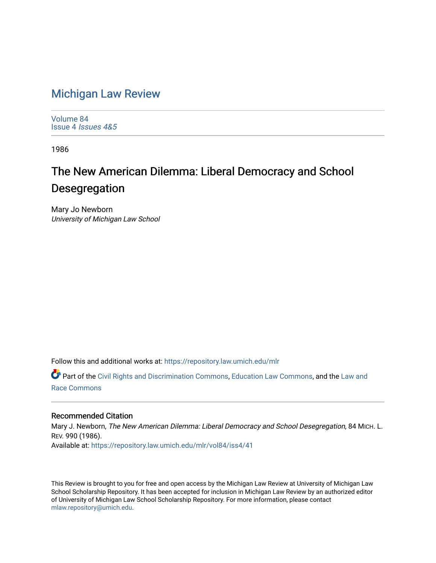## [Michigan Law Review](https://repository.law.umich.edu/mlr)

[Volume 84](https://repository.law.umich.edu/mlr/vol84) Issue 4 [Issues 4&5](https://repository.law.umich.edu/mlr/vol84/iss4) 

1986

## The New American Dilemma: Liberal Democracy and School Desegregation

Mary Jo Newborn University of Michigan Law School

Follow this and additional works at: [https://repository.law.umich.edu/mlr](https://repository.law.umich.edu/mlr?utm_source=repository.law.umich.edu%2Fmlr%2Fvol84%2Fiss4%2F41&utm_medium=PDF&utm_campaign=PDFCoverPages) 

Part of the [Civil Rights and Discrimination Commons,](http://network.bepress.com/hgg/discipline/585?utm_source=repository.law.umich.edu%2Fmlr%2Fvol84%2Fiss4%2F41&utm_medium=PDF&utm_campaign=PDFCoverPages) [Education Law Commons](http://network.bepress.com/hgg/discipline/596?utm_source=repository.law.umich.edu%2Fmlr%2Fvol84%2Fiss4%2F41&utm_medium=PDF&utm_campaign=PDFCoverPages), and the [Law and](http://network.bepress.com/hgg/discipline/1300?utm_source=repository.law.umich.edu%2Fmlr%2Fvol84%2Fiss4%2F41&utm_medium=PDF&utm_campaign=PDFCoverPages)  [Race Commons](http://network.bepress.com/hgg/discipline/1300?utm_source=repository.law.umich.edu%2Fmlr%2Fvol84%2Fiss4%2F41&utm_medium=PDF&utm_campaign=PDFCoverPages) 

## Recommended Citation

Mary J. Newborn, The New American Dilemma: Liberal Democracy and School Desegregation, 84 MICH. L. REV. 990 (1986). Available at: [https://repository.law.umich.edu/mlr/vol84/iss4/41](https://repository.law.umich.edu/mlr/vol84/iss4/41?utm_source=repository.law.umich.edu%2Fmlr%2Fvol84%2Fiss4%2F41&utm_medium=PDF&utm_campaign=PDFCoverPages) 

This Review is brought to you for free and open access by the Michigan Law Review at University of Michigan Law School Scholarship Repository. It has been accepted for inclusion in Michigan Law Review by an authorized editor of University of Michigan Law School Scholarship Repository. For more information, please contact [mlaw.repository@umich.edu.](mailto:mlaw.repository@umich.edu)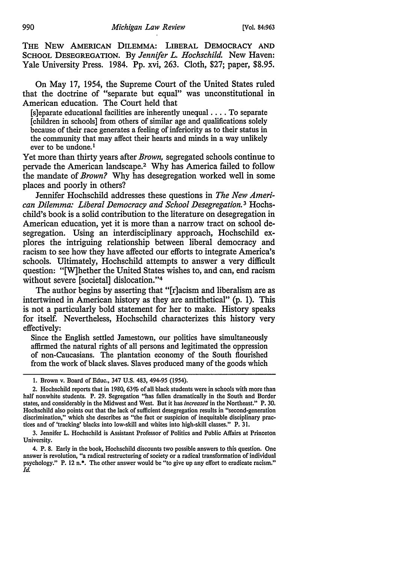THE NEW AMERICAN DILEMMA: LIBERAL DEMOCRACY AND SCHOOL DESEGREGATION. By *Jennifer L. Hochschild.* New Haven: Yale University Press. 1984. Pp. xvi, 263. Cloth, \$27; paper, \$8.95.

On May 17, 1954, the Supreme Court of the United States ruled that the doctrine of "separate but equal" was unconstitutional in American education. The Court held that

 $[s]$ eparate educational facilities are inherently unequal  $\dots$ . To separate [children in schools] from others of similar age and qualifications solely because of their race generates a feeling of inferiority as to their status in the community that may affect their hearts and minds in a way unlikely ever to be undone.<sup>1</sup>

Yet more than thirty years after *Brown,* segregated schools continue to pervade the American landscape.2 Why has America failed to follow the mandate of *Brown?* Why has desegregation worked well in some places and poorly in others?

Jennifer Hochschild addresses these questions in *The New American Dilemma: Liberal Democracy and School Desegregation.* 3 Hochschild's book is a solid contribution to the literature on desegregation in American education, yet it is more than a narrow tract on school desegregation. Using an interdisciplinary approach, Hochschild explores the intriguing relationship between liberal democracy and racism to see how they have affected our efforts to integrate America's schools. Ultimately, Hochschild attempts to answer a very difficult question: "[W]hether the United States wishes to, and can, end racism without severe [societal] dislocation."4

The author begins by asserting that "[r]acism and liberalism are as intertwined in American history as they are antithetical" (p. 1). This is not a particularly bold statement for her to make. History speaks for itself. Nevertheless, Hochschild characterizes this history very effectively:

Since the English settled Jamestown, our politics have simultaneously affirmed the natural rights of all persons and legitimated the oppression of non-Caucasians. The plantation economy of the South flourished from the work of black slaves. Slaves produced many of the goods which

3. Jennifer L. Hochschild is Assistant Professor of Politics and Public Affairs at Princeton University.

4. P. 8. Early in the book, Hochschild discounts two possible answers to this question. One answer is revolution, "a radical restructuring of society or a radical transformation of individual psychology." P. 12 n.•. The other answer would be "to give up any effort to eradicate racism." *Id.* 

<sup>1.</sup> Brown v. Board of Educ., 347 U.S. 483, 494-95 (1954).

<sup>2.</sup> Hochschild reports that in 1980, 63% of all black students were in schools with more than half nonwhite students. P. 29. Segregation "has fallen dramatically in the South and Border states, and considerably in the Midwest and West. But it has *increased* in the Northeast." P. 30. Hochschild also points out that the lack of sufficient desegregation results in "second·generation discrimination," which she describes as "the fact or suspicion of inequitable disciplinary prac· tices and of 'tracking' blacks into low-skill and whites into high-skill classes." P. 31.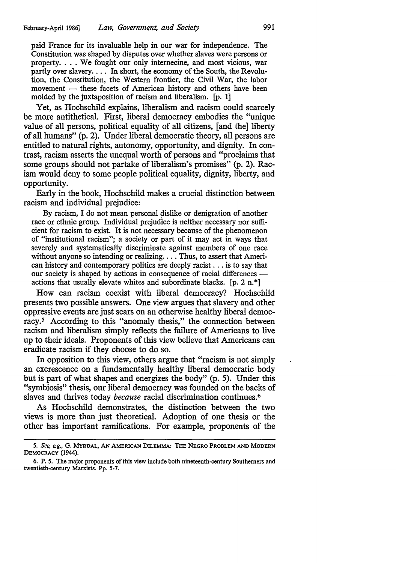paid France for its invaluable help in our war for independence. The Constitution was shaped by disputes over whether slaves were persons or property.... We fought our only internecine, and most vicious, war partly over slavery. . . . In short, the economy of the South, the Revolution, the Constitution, the Western frontier, the Civil War, the labor  $m$ ovement  $-$  these facets of American history and others have been molded by the juxtaposition of racism and liberalism. [p. 1]

Yet, as Hochschild explains, liberalism and racism could scarcely be more antithetical. First, liberal democracy embodies the "unique value of all persons, political equality of all citizens, [and the] liberty of all humans" (p. 2). Under liberal democratic theory, all persons are entitled to natural rights, autonomy, opportunity, and dignity. In contrast, racism asserts the unequal worth of persons and "proclaims that some groups should not partake of liberalism's promises" (p. 2). Racism would deny to some people political equality, dignity, liberty, and opportunity.

Early in the book, Hochschild makes a crucial distinction between racism and individual prejudice:

By racism, I do not mean personal dislike or denigration of another race or ethnic group. Individual prejudice is neither necessary nor sufficient for racism to exist. It is not necessary because of the phenomenon of "institutional racism"; a society or part of it may act in ways that severely and systematically discriminate against members of one race without anyone so intending or realizing.... Thus, to assert that American history and contemporary politics are deeply racist ... is to say that our society is shaped by actions in consequence of racial differences actions that usually elevate whites and subordinate blacks. [p. 2 n. \*]

How can racism coexist with liberal democracy? Hochschild presents two possible answers. One view argues that slavery and other oppressive events are just scars on an otherwise healthy liberal democracy.<sup>5</sup> According to this "anomaly thesis," the connection between racism and liberalism simply reflects the failure of Americans to live up to their ideals. Proponents of this view believe that Americans can eradicate racism if they choose to do so.

In opposition to this view, others argue that "racism is not simply an excrescence on a fundamentally healthy liberal democratic body but is part of what shapes and energizes the body" (p. 5). Under this "symbiosis" thesis, our liberal democracy was founded on the backs of slaves and thrives today *because* racial discrimination continues. 6

As Hochschild demonstrates, the distinction between the two views is more than just theoretical. Adoption of one thesis or the other has important ramifications. For example, proponents of the

<sup>5.</sup> *See, e.g .•* G. MYRDAL, AN AMERICAN DILEMMA: THE NEGRO PROBLEM AND MODERN DEMOCRACY (1944).

<sup>6.</sup> P. 5. The major proponents of this view include both nineteenth-century Southerners and twentieth-century Marxists. Pp. 5-7.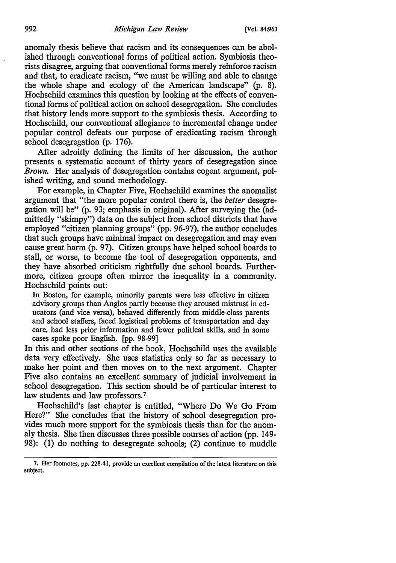anomaly thesis believe that racism and its consequences can be abolished through conventional forms of political action. Symbiosis theorists disagree, arguing that conventional forms merely reinforce racism and that, to eradicate racism, "we must be willing and able to change the whole shape and ecology of the American landscape" (p. 8). Hochschild examines this question by looking at the effects of conventional forms of political action on school desegregation. She concludes that history lends more support to the symbiosis thesis. According to Hochschild, our conventional allegiance to incremental change under popular control defeats our purpose of eradicating racism through school desegregation (p. 176).

After adroitly defining the limits of her discussion, the author presents a systematic account of thirty years of desegregation since *Brown.* Her analysis of desegregation contains cogent argument, polished writing, and sound methodology.

For example, in Chapter Five, Hochschild examines the anomalist argument that "the more popular control there is, the *better* desegregation will be" (p. 93; emphasis in original). After surveying the (admittedly "skimpy") data on the subject from school districts that have employed "citizen planning groups" (pp. 96-97), the author concludes that such groups have minimal impact on desegregation and may even cause great harm (p. 97). Citizen groups have helped school boards to stall, or worse, to become the tool of desegregation opponents, and they have absorbed criticism rightfully due school boards. Furthermore, citizen groups often mirror the inequality in a community. Hochschild points out:

In Boston, for example, minority parents were less effective in citizen advisory groups than Anglos partly because they aroused mistrust in educators (and vice versa), behaved differently from middle-class parents and school staffers, faced logistical problems of transportation and day care, had less prior information and fewer political skills, and in some cases spoke poor English. [pp. 98-99]

In this and other sections of the book, Hochschild uses the available data very effectively. She uses statistics only so far as necessary to make her point and then moves on to the next argument. Chapter Five also contains an excellent summary of judicial involvement in school desegregation. This section should be of particular interest to law students and law professors.<sup>7</sup>

Hochschild's last chapter is entitled, "Where Do We Go From Here?" She concludes that the history of school desegregation provides much more support for the symbiosis thesis than for the anomaly thesis. She then discusses three possible courses of action (pp. 149- 98): (1) do nothing to desegregate schools; (2) continue to muddle

<sup>7.</sup> Her footnotes, pp. 228-41, provide an excellent compilation of the latest literature on this subject.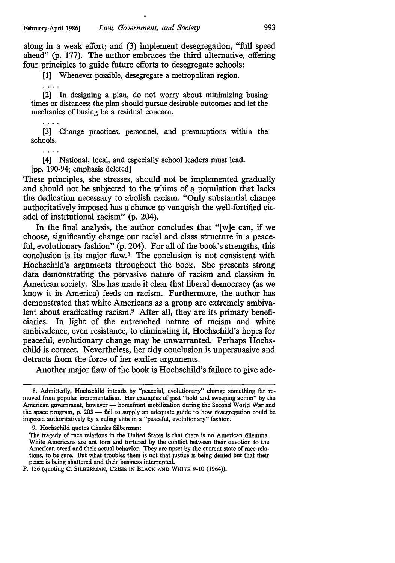along in a weak effort; and (3) implement desegregation, "full speed ahead" (p. 177). The author embraces the third alternative, offering four principles to guide future efforts to desegregate schools:

[1] Whenever possible, desegregate a metropolitan region.

[2] In designing a plan, do not worry about minimizing busing times or distances; the plan should pursue desirable outcomes and let the mechanics of busing be a residual concern.

[3] Change practices, personnel, and presumptions within the schools.

 $\sim$   $\sim$   $\sim$ 

[4] National, local, and especially school leaders must lead.

[pp. 190-94; emphasis deleted]

These principles, she stresses, should not be implemented gradually and should not be subjected to the whims of a population that lacks the dedication necessary to abolish racism. "Only substantial change authoritatively imposed has a chance to vanquish the well-fortified citadel of institutional racism" (p. 204).

In the final analysis, the author concludes that "[w]e can, if we choose, significantly change our racial and class structure in a peaceful, evolutionary fashion" (p. 204). For all of the book's strengths, this conclusion is its major flaw.<sup>8</sup> The conclusion is not consistent with Hochschild's arguments throughout the book. She presents strong data demonstrating the pervasive nature of racism and classism in American society. She has made it clear that liberal democracy (as we know it in America) feeds on racism. Furthermore, the author has demonstrated that white Americans as a group are extremely ambivalent about eradicating racism.9 After all, they are its primary beneficiaries. In light of the entrenched nature of racism and white ambivalence, even resistance, to eliminating it, Hochschild's hopes for peaceful, evolutionary change may be unwarranted. Perhaps Hochschild is correct. Nevertheless, her tidy conclusion is unpersuasive and detracts from the force of her earlier arguments.

Another major flaw of the book is Hochschild's failure to give ade-

<sup>8.</sup> Admittedly, Hochschild intends by "peaceful, evolutionary" change something far removed from popular incrementalism. Her examples of past "bold and sweeping action" by the American government, however - homefront mobilization during the Second World War and the space program, p. 205 - fail to supply an adequate guide to how desegregation could be imposed authoritatively by a ruling elite in a "peaceful, evolutionary" fashion.

<sup>9.</sup> Hochschild quotes Charles Silberman:

The tragedy of race relations in the United States is that there is no American dilemma. White Americans are not tom and tortured by the conflict between their devotion to the American creed and their actual behavior. They are upset by the current state of race relations, to be sure. But what troubles them is not that justice is being denied but that their peace is being shattered and their business interrupted.

P. 156 (quoting C. SILBERMAN, CRISIS IN BLACK AND WHITE 9-10 (1964)).